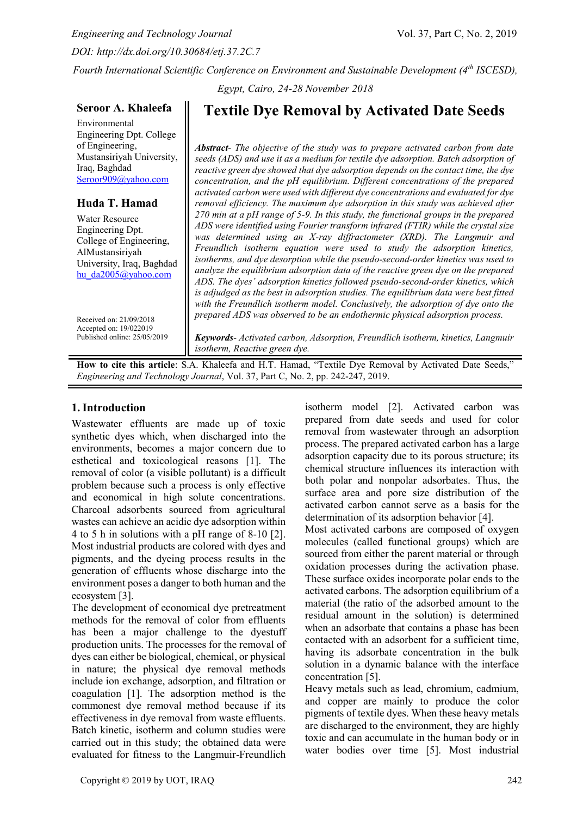*Engineering and Technology Journal* Vol. 37, Part C, No. 2, 2019 *DOI: http://dx.doi.org/10.30684/etj.37.2C.7 Fourth International Scientific Conference on Environment and Sustainable Development (4 th ISCESD),* 

*Egypt, Cairo, 24-28 November 2018* 

# **Seroor A. Khaleefa**

Environmental Engineering Dpt. College of Engineering, Mustansiriyah University, Iraq, Baghdad [Seroor909@yahoo.com](mailto:Seroor909@yahoo.com)

# **Huda T. Hamad**

Water Resource Engineering Dpt. College of Engineering, AlMustansiriyah University, Iraq, Baghdad [hu\\_da2005@yahoo.com](mailto:hu_da2005@yahoo.com)

Received on: 21/09/2018 Accepted on: 19/022019 Published online: 25/05/2019

# **Textile Dye Removal by Activated Date Seeds**

*Abstract- The objective of the study was to prepare activated carbon from date seeds (ADS) and use it as a medium for textile dye adsorption. Batch adsorption of reactive green dye showed that dye adsorption depends on the contact time, the dye concentration, and the pH equilibrium. Different concentrations of the prepared activated carbon were used with different dye concentrations and evaluated for dye removal efficiency. The maximum dye adsorption in this study was achieved after 270 min at a pH range of 5-9. In this study, the functional groups in the prepared ADS were identified using Fourier transform infrared (FTIR) while the crystal size was determined using an X-ray diffractometer (XRD). The Langmuir and Freundlich isotherm equation were used to study the adsorption kinetics, isotherms, and dye desorption while the pseudo-second-order kinetics was used to analyze the equilibrium adsorption data of the reactive green dye on the prepared ADS. The dyes' adsorption kinetics followed pseudo-second-order kinetics, which is adjudged as the best in adsorption studies. The equilibrium data were best fitted with the Freundlich isotherm model. Conclusively, the adsorption of dye onto the prepared ADS was observed to be an endothermic physical adsorption process.*

*Keywords- Activated carbon, Adsorption, Freundlich isotherm, kinetics, Langmuir isotherm, Reactive green dye.*

**How to cite this article**: S.A. Khaleefa and H.T. Hamad, "Textile Dye Removal by Activated Date Seeds," *Engineering and Technology Journal*, Vol. 37, Part C, No. 2, pp. 242-247, 2019.

# **1. Introduction**

Wastewater effluents are made up of toxic synthetic dyes which, when discharged into the environments, becomes a major concern due to esthetical and toxicological reasons [1]. The removal of color (a visible pollutant) is a difficult problem because such a process is only effective and economical in high solute concentrations. Charcoal adsorbents sourced from agricultural wastes can achieve an acidic dye adsorption within 4 to 5 h in solutions with a pH range of 8-10 [2]. Most industrial products are colored with dyes and pigments, and the dyeing process results in the generation of effluents whose discharge into the environment poses a danger to both human and the ecosystem [3].

The development of economical dye pretreatment methods for the removal of color from effluents has been a major challenge to the dyestuff production units. The processes for the removal of dyes can either be biological, chemical, or physical in nature; the physical dye removal methods include ion exchange, adsorption, and filtration or coagulation [1]. The adsorption method is the commonest dye removal method because if its effectiveness in dye removal from waste effluents. Batch kinetic, isotherm and column studies were carried out in this study; the obtained data were evaluated for fitness to the Langmuir-Freundlich

isotherm model [2]. Activated carbon was prepared from date seeds and used for color removal from wastewater through an adsorption process. The prepared activated carbon has a large adsorption capacity due to its porous structure; its chemical structure influences its interaction with both polar and nonpolar adsorbates. Thus, the surface area and pore size distribution of the activated carbon cannot serve as a basis for the determination of its adsorption behavior [4].

Most activated carbons are composed of oxygen molecules (called functional groups) which are sourced from either the parent material or through oxidation processes during the activation phase. These surface oxides incorporate polar ends to the activated carbons. The adsorption equilibrium of a material (the ratio of the adsorbed amount to the residual amount in the solution) is determined when an adsorbate that contains a phase has been contacted with an adsorbent for a sufficient time, having its adsorbate concentration in the bulk solution in a dynamic balance with the interface concentration [5].

Heavy metals such as lead, chromium, cadmium, and copper are mainly to produce the color pigments of textile dyes. When these heavy metals are discharged to the environment, they are highly toxic and can accumulate in the human body or in water bodies over time [5]. Most industrial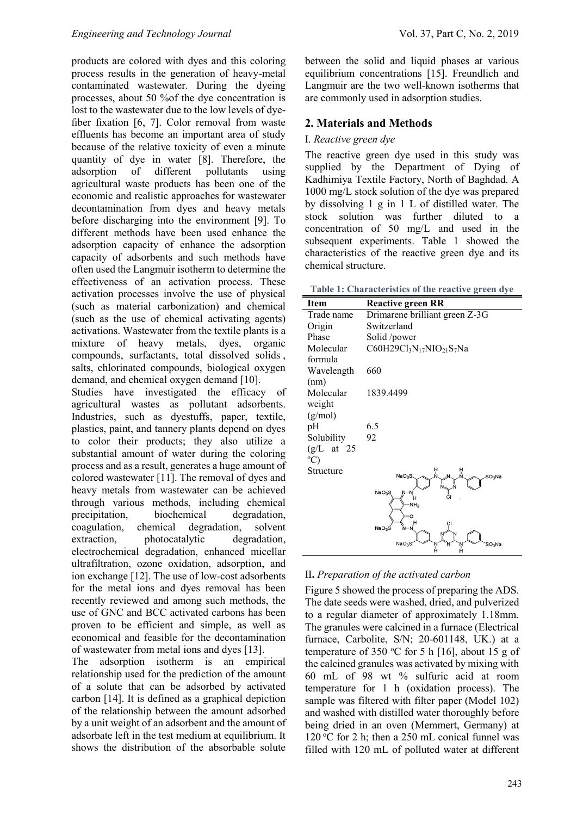products are colored with dyes and this coloring process results in the generation of heavy-metal contaminated wastewater. During the dyeing processes, about 50 %of the dye concentration is lost to the wastewater due to the low levels of dyefiber fixation [6, 7]. Color removal from waste effluents has become an important area of study because of the relative toxicity of even a minute quantity of dye in water [8]. Therefore, the adsorption of different pollutants using agricultural waste products has been one of the economic and realistic approaches for wastewater decontamination from dyes and heavy metals before discharging into the environment [9]. To different methods have been used enhance the adsorption capacity of enhance the adsorption capacity of adsorbents and such methods have often used the Langmuir isotherm to determine the effectiveness of an activation process. These activation processes involve the use of physical (such as material carbonization) and chemical (such as the use of chemical activating agents) activations. Wastewater from the textile plants is a mixture of heavy metals, dyes, organic compounds, surfactants, total dissolved solids , salts, chlorinated compounds, biological oxygen demand, and chemical oxygen demand [10].

Studies have investigated the efficacy of agricultural wastes as pollutant adsorbents. Industries, such as dyestuffs, paper, textile, plastics, paint, and tannery plants depend on dyes to color their products; they also utilize a substantial amount of water during the coloring process and as a result, generates a huge amount of colored wastewater [11]. The removal of dyes and heavy metals from wastewater can be achieved through various methods, including chemical precipitation, biochemical degradation, coagulation, chemical degradation, solvent extraction, photocatalytic degradation, electrochemical degradation, enhanced micellar ultrafiltration, ozone oxidation, adsorption, and ion exchange [12]. The use of low-cost adsorbents for the metal ions and dyes removal has been recently reviewed and among such methods, the use of GNC and BCC activated carbons has been proven to be efficient and simple, as well as economical and feasible for the decontamination of wastewater from metal ions and dyes [13].

The adsorption isotherm is an empirical relationship used for the prediction of the amount of a solute that can be adsorbed by activated carbon [14]. It is defined as a graphical depiction of the relationship between the amount adsorbed by a unit weight of an adsorbent and the amount of adsorbate left in the test medium at equilibrium. It shows the distribution of the absorbable solute

between the solid and liquid phases at various equilibrium concentrations [15]. Freundlich and Langmuir are the two well-known isotherms that are commonly used in adsorption studies.

# **2. Materials and Methods**

# I. *Reactive green dye*

The reactive green dye used in this study was supplied by the Department of Dying of Kadhimiya Textile Factory, North of Baghdad. A 1000 mg/L stock solution of the dye was prepared by dissolving 1 g in 1 L of distilled water. The stock solution was further diluted to a concentration of 50 mg/L and used in the subsequent experiments. Table 1 showed the characteristics of the reactive green dye and its chemical structure.

**Table 1: Characteristics of the reactive green dye**

| <b>Reactive green RR</b>                                                  |
|---------------------------------------------------------------------------|
| Drimarene brilliant green Z-3G                                            |
| Switzerland                                                               |
| Solid /power                                                              |
| C60H29Cl <sub>3</sub> N <sub>17</sub> NIO <sub>21</sub> S <sub>7</sub> Na |
|                                                                           |
| 660                                                                       |
|                                                                           |
| 1839.4499                                                                 |
|                                                                           |
|                                                                           |
| 6.5                                                                       |
| 92                                                                        |
|                                                                           |
|                                                                           |
| ņ                                                                         |
| NaO <sub>3</sub> S<br>$SO3$ Na                                            |
| NaO <sub>3</sub> S                                                        |
| -NH <sub>2</sub>                                                          |
|                                                                           |
| NaO <sub>3</sub> S                                                        |
|                                                                           |
| NaO <sub>3</sub> S<br>SO <sub>3</sub> Na<br>Á<br>Ĥ                        |
|                                                                           |

# II**.** *Preparation of the activated carbon*

Figure 5 showed the process of preparing the ADS. The date seeds were washed, dried, and pulverized to a regular diameter of approximately 1.18mm. The granules were calcined in a furnace (Electrical furnace, Carbolite, S/N; 20-601148, UK.) at a temperature of 350 °C for 5 h [16], about 15 g of the calcined granules was activated by mixing with 60 mL of 98 wt % sulfuric acid at room temperature for 1 h (oxidation process). The sample was filtered with filter paper (Model 102) and washed with distilled water thoroughly before being dried in an oven (Memmert, Germany) at 120 °C for 2 h; then a 250 mL conical funnel was filled with 120 mL of polluted water at different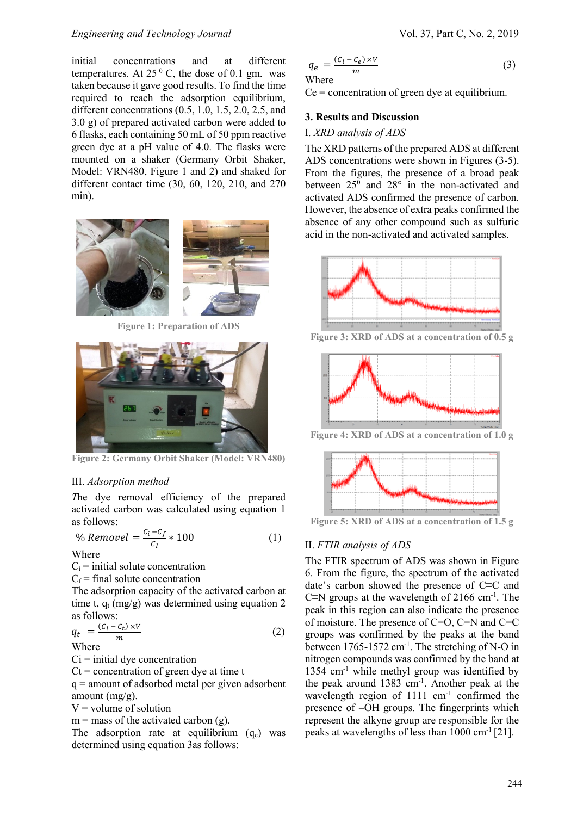## *Engineering and Technology Journal* Vol. 37, Part C, No. 2, 2019

initial concentrations and at different temperatures. At  $25<sup>0</sup>$  C, the dose of 0.1 gm. was taken because it gave good results. To find the time required to reach the adsorption equilibrium, different concentrations (0.5, 1.0, 1.5, 2.0, 2.5, and 3.0 g) of prepared activated carbon were added to 6 flasks, each containing 50 mL of 50 ppm reactive green dye at a pH value of 4.0. The flasks were mounted on a shaker (Germany Orbit Shaker, Model: VRN480, Figure 1 and 2) and shaked for different contact time (30, 60, 120, 210, and 270 min).



**Figure 1: Preparation of ADS**



**Figure 2: Germany Orbit Shaker (Model: VRN480)**

## III. *Adsorption method*

*T*he dye removal efficiency of the prepared activated carbon was calculated using equation 1 as follows:

$$
\% Removel = \frac{c_i - c_f}{c_I} \cdot 100 \tag{1}
$$

Where

 $C_i$  = initial solute concentration

 $C_f$  = final solute concentration

The adsorption capacity of the activated carbon at time t,  $q_t$  (mg/g) was determined using equation 2 as follows:

$$
q_t = \frac{(c_i - c_t) \times V}{m} \tag{2}
$$
  
Where

 $Ci = initial$  dye concentration

 $Ct =$  concentration of green dye at time t

q = amount of adsorbed metal per given adsorbent amount (mg/g).

 $V =$  volume of solution

 $m =$  mass of the activated carbon (g).

The adsorption rate at equilibrium  $(q_e)$  was determined using equation 3as follows:

$$
q_e = \frac{(c_i - c_e) \times V}{m}
$$
 (3)

 $Ce = concentration of green dye at equilibrium.$ 

# **3. Results and Discussion**

## I. *XRD analysis of ADS*

The XRD patterns of the prepared ADS at different ADS concentrations were shown in Figures (3-5). From the figures, the presence of a broad peak between  $25^{\circ}$  and  $28^{\circ}$  in the non-activated and activated ADS confirmed the presence of carbon. However, the absence of extra peaks confirmed the absence of any other compound such as sulfuric acid in the non-activated and activated samples.



**Figure 3: XRD of ADS at a concentration of 0.5 g**



**Figure 4: XRD of ADS at a concentration of 1.0 g**



**Figure 5: XRD of ADS at a concentration of 1.5 g**

# II. *FTIR analysis of ADS*

The FTIR spectrum of ADS was shown in Figure 6. From the figure, the spectrum of the activated date's carbon showed the presence of C≡C and C≡N groups at the wavelength of 2166 cm-1 . The peak in this region can also indicate the presence of moisture. The presence of C=O, C=N and C=C groups was confirmed by the peaks at the band between  $1765 - 1572$  cm<sup>-1</sup>. The stretching of N-O in nitrogen compounds was confirmed by the band at 1354 cm-1 while methyl group was identified by the peak around 1383 cm-1 . Another peak at the wavelength region of 1111 cm<sup>-1</sup> confirmed the presence of –OH groups. The fingerprints which represent the alkyne group are responsible for the peaks at wavelengths of less than  $1000 \text{ cm}^{-1}$  [21].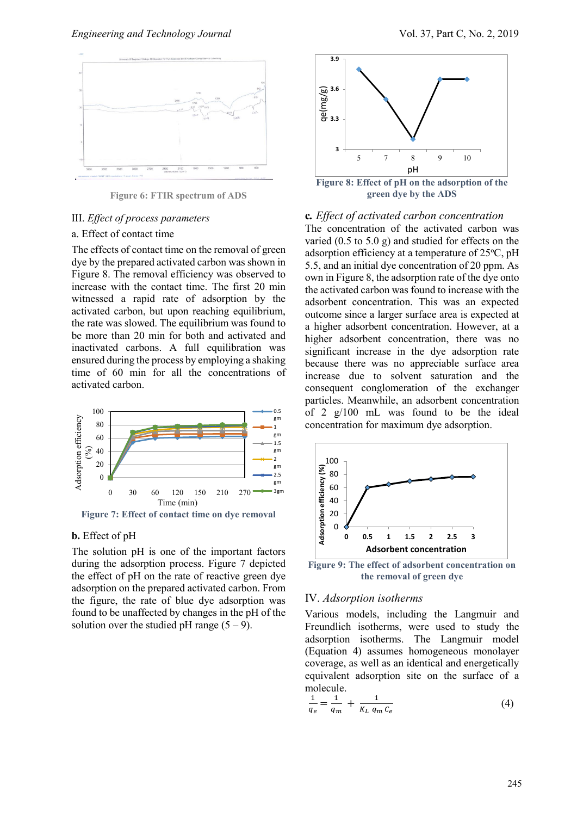

**Figure 6: FTIR spectrum of ADS**

## III. *Effect of process parameters*

#### a. Effect of contact time

The effects of contact time on the removal of green dye by the prepared activated carbon was shown in Figure 8. The removal efficiency was observed to increase with the contact time. The first 20 min witnessed a rapid rate of adsorption by the activated carbon, but upon reaching equilibrium, the rate was slowed. The equilibrium was found to be more than 20 min for both and activated and inactivated carbons. A full equilibration was ensured during the process by employing a shaking time of 60 min for all the concentrations of activated carbon.



**Figure 7: Effect of contact time on dye removal**

## **b.** Effect of pH

The solution pH is one of the important factors during the adsorption process. Figure 7 depicted the effect of pH on the rate of reactive green dye adsorption on the prepared activated carbon. From the figure, the rate of blue dye adsorption was found to be unaffected by changes in the pH of the solution over the studied pH range  $(5 - 9)$ .



#### **c***. Effect of activated carbon concentration*

The concentration of the activated carbon was varied (0.5 to 5.0 g) and studied for effects on the adsorption efficiency at a temperature of  $25^{\circ}$ C, pH 5.5, and an initial dye concentration of 20 ppm. As own in Figure 8, the adsorption rate of the dye onto the activated carbon was found to increase with the adsorbent concentration. This was an expected outcome since a larger surface area is expected at a higher adsorbent concentration. However, at a higher adsorbent concentration, there was no significant increase in the dye adsorption rate because there was no appreciable surface area increase due to solvent saturation and the consequent conglomeration of the exchanger particles. Meanwhile, an adsorbent concentration of 2 g/100 mL was found to be the ideal concentration for maximum dye adsorption.



**Figure 9: The effect of adsorbent concentration on the removal of green dye**

#### IV. *Adsorption isotherms*

Various models, including the Langmuir and Freundlich isotherms, were used to study the adsorption isotherms. The Langmuir model (Equation 4) assumes homogeneous monolayer coverage, as well as an identical and energetically equivalent adsorption site on the surface of a molecule.

$$
\frac{1}{q_e} = \frac{1}{q_m} + \frac{1}{K_L \, q_m \, c_e} \tag{4}
$$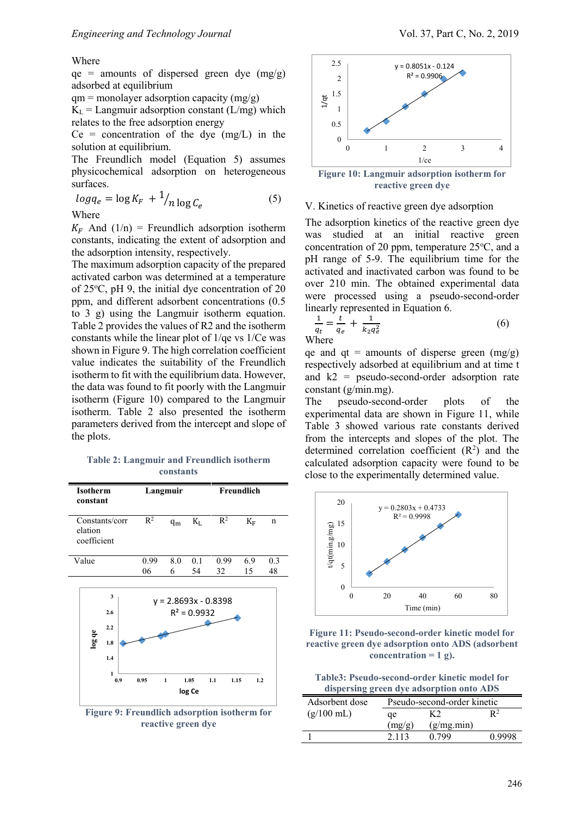#### Where

 $qe =$  amounts of dispersed green dye (mg/g) adsorbed at equilibrium

 $qm = monolayer adsorption capacity (mg/g)$ 

 $K<sub>L</sub>$  = Langmuir adsorption constant (L/mg) which relates to the free adsorption energy

 $Ce = concentration of the dye (mg/L) in the$ solution at equilibrium.

The Freundlich model (Equation 5) assumes physicochemical adsorption on heterogeneous surfaces.

$$
log q_e = log K_F + \frac{1}{n} log C_e
$$
 (5)

Where

 $K_F$  And (1/n) = Freundlich adsorption isotherm constants, indicating the extent of adsorption and the adsorption intensity, respectively.

The maximum adsorption capacity of the prepared activated carbon was determined at a temperature of  $25^{\circ}$ C, pH 9, the initial dye concentration of 20 ppm, and different adsorbent concentrations (0.5 to 3 g) using the Langmuir isotherm equation. Table 2 provides the values of R2 and the isotherm constants while the linear plot of 1/qe vs 1/Ce was shown in Figure 9. The high correlation coefficient value indicates the suitability of the Freundlich isotherm to fit with the equilibrium data. However, the data was found to fit poorly with the Langmuir isotherm (Figure 10) compared to the Langmuir isotherm. Table 2 also presented the isotherm parameters derived from the intercept and slope of the plots.

## **Table 2: Langmuir and Freundlich isotherm constants**

| Isotherm<br>constant                     |                                           |            | Langmuir     |                                  |                                       | Freundlich |           |
|------------------------------------------|-------------------------------------------|------------|--------------|----------------------------------|---------------------------------------|------------|-----------|
| Constants/corr<br>elation<br>coefficient |                                           | $R^2$      | $q_m$        | $K_{L}$                          | $\mathbb{R}^2$                        | $K_F$      | n         |
| Value                                    |                                           | 0.99<br>06 | 8.0<br>6     | 0.1<br>54                        | 0.99<br>32                            | 6.9<br>15  | 0.3<br>48 |
| log qe                                   | 3<br>2.6<br>2.2<br>1.8<br>1.4<br>1<br>0.9 | 0.95       | $\mathbf{1}$ | $R^2 = 0.9932$<br>1.05<br>log Ce | $y = 2.8693x - 0.8398$<br>1.1<br>1.15 | 1.2        |           |

**Figure 9: Freundlich adsorption isotherm for reactive green dye**



**Figure 10: Langmuir adsorption isotherm for reactive green dye**

### V. Kinetics of reactive green dye adsorption

The adsorption kinetics of the reactive green dye was studied at an initial reactive green concentration of 20 ppm, temperature  $25^{\circ}$ C, and a pH range of 5-9. The equilibrium time for the activated and inactivated carbon was found to be over 210 min. The obtained experimental data were processed using a pseudo-second-order linearly represented in Equation 6.

$$
\frac{1}{q_t} = \frac{t}{q_e} + \frac{1}{k_2 q_e^2}
$$
 (6)

qe and qt = amounts of disperse green  $(mg/g)$ respectively adsorbed at equilibrium and at time t and k2 = pseudo-second-order adsorption rate constant (g/min.mg).

The pseudo-second-order plots of the experimental data are shown in Figure 11, while Table 3 showed various rate constants derived from the intercepts and slopes of the plot. The determined correlation coefficient  $(R<sup>2</sup>)$  and the calculated adsorption capacity were found to be close to the experimentally determined value.



**Figure 11: Pseudo-second-order kinetic model for reactive green dye adsorption onto ADS (adsorbent**  concentration  $= 1$  g).

**Table3: Pseudo-second-order kinetic model for dispersing green dye adsorption onto ADS**

| Adsorbent dose       | Pseudo-second-order kinetic |            |        |  |  |
|----------------------|-----------------------------|------------|--------|--|--|
| $(g/100 \text{ mL})$ | ae                          |            |        |  |  |
|                      | (mg/g)                      | (g/mg,min) |        |  |  |
|                      | 2.113                       | N 799      | n aaar |  |  |